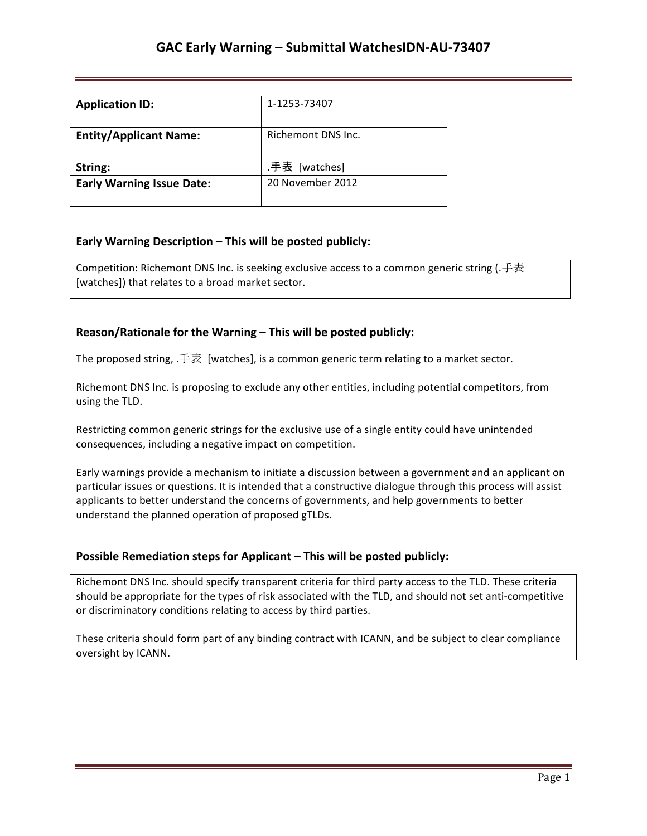| <b>Application ID:</b>           | 1-1253-73407       |
|----------------------------------|--------------------|
| <b>Entity/Applicant Name:</b>    | Richemont DNS Inc. |
| String:                          | .手表 [watches]      |
| <b>Early Warning Issue Date:</b> | 20 November 2012   |

## **Early Warning Description – This will be posted publicly:**

Competition: Richemont DNS Inc. is seeking exclusive access to a common generic string (.手表 [watches]) that relates to a broad market sector.

## **Reason/Rationale for the Warning – This will be posted publicly:**

The proposed string, .手表 [watches], is a common generic term relating to a market sector.

Richemont DNS Inc. is proposing to exclude any other entities, including potential competitors, from using the TLD.

Restricting common generic strings for the exclusive use of a single entity could have unintended consequences, including a negative impact on competition.

Early warnings provide a mechanism to initiate a discussion between a government and an applicant on particular issues or questions. It is intended that a constructive dialogue through this process will assist applicants to better understand the concerns of governments, and help governments to better understand the planned operation of proposed gTLDs.

### **Possible Remediation steps for Applicant – This will be posted publicly:**

Richemont DNS Inc. should specify transparent criteria for third party access to the TLD. These criteria should be appropriate for the types of risk associated with the TLD, and should not set anti-competitive or discriminatory conditions relating to access by third parties.

These criteria should form part of any binding contract with ICANN, and be subject to clear compliance oversight by ICANN.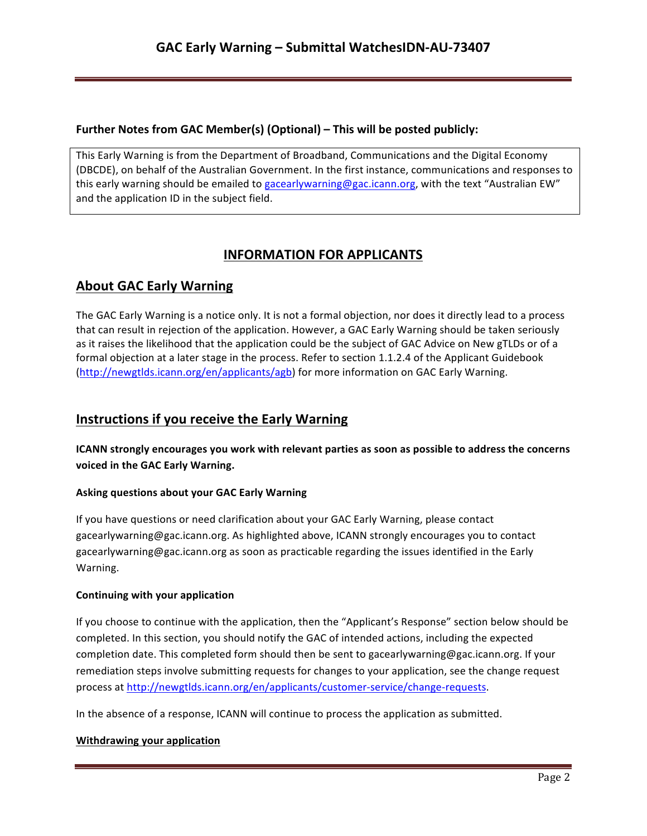## **Further Notes from GAC Member(s) (Optional) – This will be posted publicly:**

This Early Warning is from the Department of Broadband, Communications and the Digital Economy (DBCDE), on behalf of the Australian Government. In the first instance, communications and responses to this early warning should be emailed to gacearlywarning@gac.icann.org, with the text "Australian EW" and the application ID in the subject field.

# **INFORMATION FOR APPLICANTS**

# **About GAC Early Warning**

The GAC Early Warning is a notice only. It is not a formal objection, nor does it directly lead to a process that can result in rejection of the application. However, a GAC Early Warning should be taken seriously as it raises the likelihood that the application could be the subject of GAC Advice on New gTLDs or of a formal objection at a later stage in the process. Refer to section 1.1.2.4 of the Applicant Guidebook (http://newgtlds.icann.org/en/applicants/agb) for more information on GAC Early Warning.

## **Instructions if you receive the Early Warning**

**ICANN** strongly encourages you work with relevant parties as soon as possible to address the concerns voiced in the GAC Early Warning.

## **Asking questions about your GAC Early Warning**

If you have questions or need clarification about your GAC Early Warning, please contact gacearlywarning@gac.icann.org. As highlighted above, ICANN strongly encourages you to contact gacearlywarning@gac.icann.org as soon as practicable regarding the issues identified in the Early Warning. 

### **Continuing with your application**

If you choose to continue with the application, then the "Applicant's Response" section below should be completed. In this section, you should notify the GAC of intended actions, including the expected completion date. This completed form should then be sent to gacearlywarning@gac.icann.org. If your remediation steps involve submitting requests for changes to your application, see the change request process at http://newgtlds.icann.org/en/applicants/customer-service/change-requests.

In the absence of a response, ICANN will continue to process the application as submitted.

### **Withdrawing your application**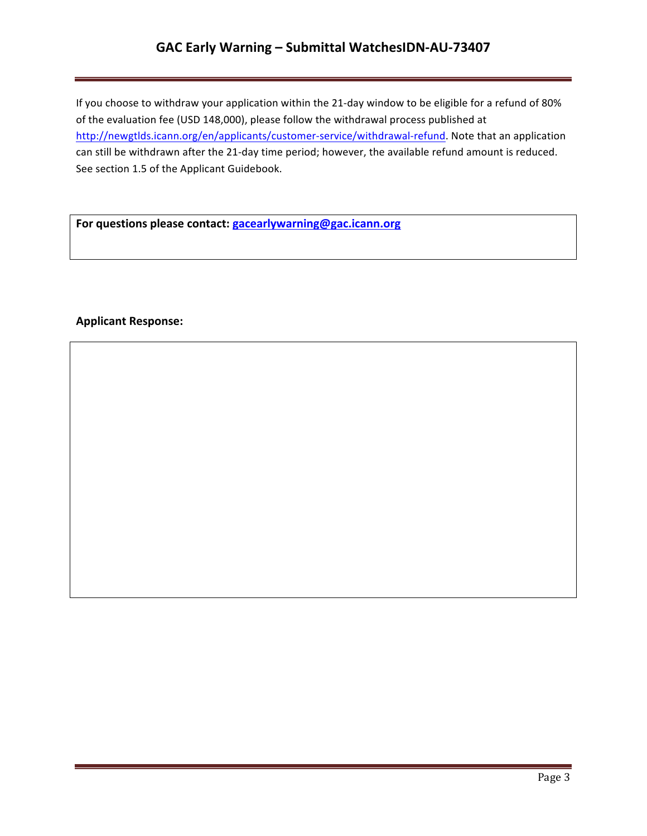## GAC Early Warning - Submittal WatchesIDN-AU-73407

If you choose to withdraw your application within the 21-day window to be eligible for a refund of 80% of the evaluation fee (USD 148,000), please follow the withdrawal process published at http://newgtlds.icann.org/en/applicants/customer-service/withdrawal-refund. Note that an application can still be withdrawn after the 21-day time period; however, the available refund amount is reduced. See section 1.5 of the Applicant Guidebook.

For questions please contact: **gacearlywarning@gac.icann.org** 

### **Applicant Response:**